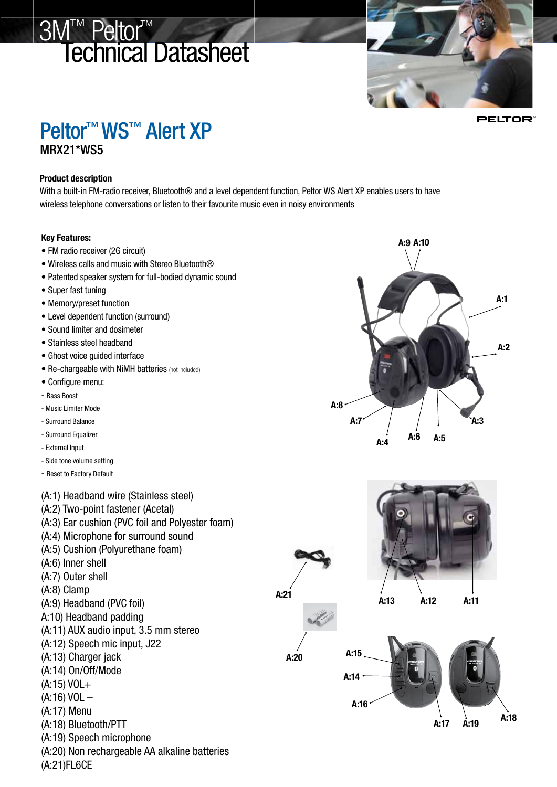# 3M™ Peltor™ Technical Datasheet



**PELTOR** 

## Peltor<sup>™</sup> WS<sup>™</sup> Alert XP MRX21\*WS5

#### Product description

With a built-in FM-radio receiver, Bluetooth® and a level dependent function, Peltor WS Alert XP enables users to have wireless telephone conversations or listen to their favourite music even in noisy environments

#### Key Features:

- FM radio receiver (2G circuit)
- Wireless calls and music with Stereo Bluetooth®
- Patented speaker system for full-bodied dynamic sound
- Super fast tuning
- Memory/preset function
- Level dependent function (surround)
- Sound limiter and dosimeter
- Stainless steel headband
- Ghost voice guided interface
- Re-chargeable with NiMH batteries (not included)
- Configure menu:
- Bass Boost
- Music Limiter Mode
- Surround Balance
- Surround Equalizer
- External Input
- Side tone volume setting
- Reset to Factory Default

(A:1) Headband wire (Stainless steel) (A:2) Two-point fastener (Acetal)

- (A:3) Ear cushion (PVC foil and Polyester foam)
- (A:4) Microphone for surround sound
- (A:5) Cushion (Polyurethane foam)
- (A:6) Inner shell
- (A:7) Outer shell
- (A:8) Clamp
- (A:9) Headband (PVC foil)
- A:10) Headband padding
- (A:11) AUX audio input, 3.5 mm stereo
- (A:12) Speech mic input, J22
- (A:13) Charger jack
- (A:14) On/Off/Mode
- (A:15) VOL+
- (A:16) VOL –
- (A:17) Menu
- (A:18) Bluetooth/PTT
- (A:19) Speech microphone
- (A:20) Non rechargeable AA alkaline batteries
- (A:21)FL6CE





A:21

A:20



A:13 A:12 A:11